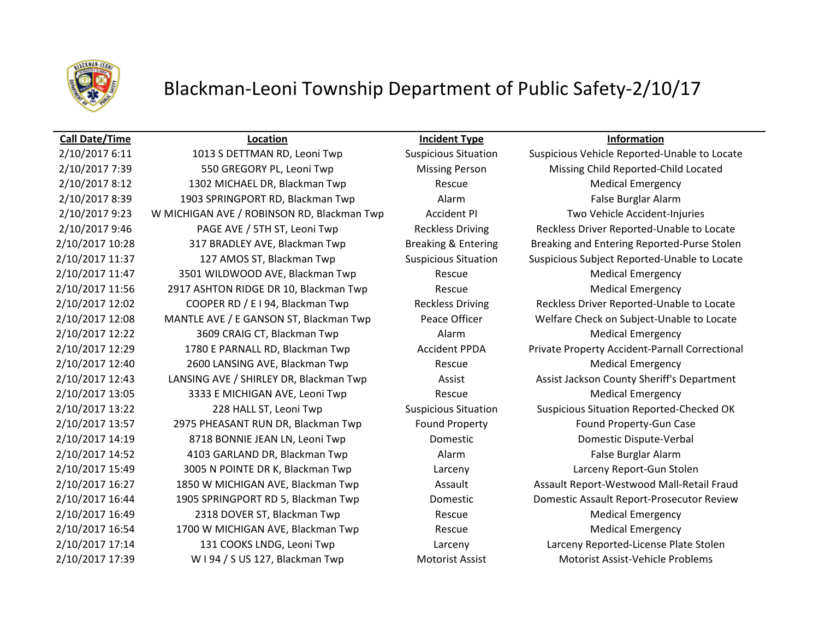

# Blackman-Leoni Township Department of Public Safety-2/10/17

2/10/2017 7:39 550 GREGORY PL, Leoni Twp Missing Person Missing Child Reported-Child Located 2/10/2017 8:12 1302 MICHAEL DR, Blackman Twp Rescue Medical Emergency 2/10/2017 8:39 1903 SPRINGPORT RD, Blackman Twp Alarm Alarm False Burglar Alarm 2/10/2017 9:23 W MICHIGAN AVE / ROBINSON RD, Blackman Twp Accident PI Two Vehicle Accident-Injuries 2/10/2017 11:47 3501 WILDWOOD AVE, Blackman Twp Rescue Rescue Medical Emergency 2/10/2017 11:56 2917 ASHTON RIDGE DR 10, Blackman Twp Rescue Rescue Medical Emergency 2/10/2017 12:22 3609 CRAIG CT, Blackman Twp **Alarm Alarm Medical Emergency** 2/10/2017 12:40 2600 LANSING AVE, Blackman Twp Rescue Rescue Medical Emergency 2/10/2017 13:05 3333 E MICHIGAN AVE, Leoni Twp Rescue Rescue Medical Emergency 2/10/2017 13:57 2975 PHEASANT RUN DR, Blackman Twp Found Property Found Property-Gun Case 2/10/2017 14:19 8718 BONNIE JEAN LN, Leoni Twp Domestic Domestic Dispute-Verbal 2/10/2017 14:52 4103 GARLAND DR, Blackman Twp Alarm False Burglar Alarm 2/10/2017 15:49 3005 N POINTE DR K, Blackman Twp Larceny Larceny Report-Gun Stolen 2/10/2017 16:49 2318 DOVER ST, Blackman Twp Rescue Rescue Medical Emergency 2/10/2017 16:54 1700 W MICHIGAN AVE, Blackman Twp Rescue Rescue Medical Emergency 2/10/2017 17:14 131 COOKS LNDG, Leoni Twp Larceny Larceny Reported-License Plate Stolen 2/10/2017 17:39 W I 94 / S US 127, Blackman Twp Motorist Assist Motorist Assist Motorist Assist-Vehicle Problems

**Call Date/Time Location Incident Type Information**

2/10/2017 6:11 1013 S DETTMAN RD, Leoni Twp Suspicious Situation Suspicious Vehicle Reported-Unable to Locate 2/10/2017 9:46 PAGE AVE / 5TH ST, Leoni Twp Reckless Driving Reckless Driver Reported-Unable to Locate 2/10/2017 10:28 317 BRADLEY AVE, Blackman Twp Breaking & Entering Breaking and Entering Reported-Purse Stolen 2/10/2017 11:37 127 AMOS ST, Blackman Twp Suspicious Situation Suspicious Subject Reported-Unable to Locate 2/10/2017 12:02 COOPER RD / E I 94, Blackman Twp Reckless Driving Reckless Driver Reported-Unable to Locate 2/10/2017 12:08 MANTLE AVE / E GANSON ST, Blackman Twp Peace Officer Welfare Check on Subject-Unable to Locate 2/10/2017 12:29 1780 E PARNALL RD, Blackman Twp **Accident PPDA** Private Property Accident-Parnall Correctional 2/10/2017 12:43 LANSING AVE / SHIRLEY DR, Blackman Twp Assist Assist Assist Jackson County Sheriff's Department 2/10/2017 13:22 228 HALL ST, Leoni Twp Suspicious Situation Suspicious Situation Reported-Checked OK 2/10/2017 16:27 1850 W MICHIGAN AVE, Blackman Twp **Assault Assault Assault Report-Westwood Mall-Retail Fraud** 2/10/2017 16:44 1905 SPRINGPORT RD 5, Blackman Twp Domestic Domestic Assault Report-Prosecutor Review